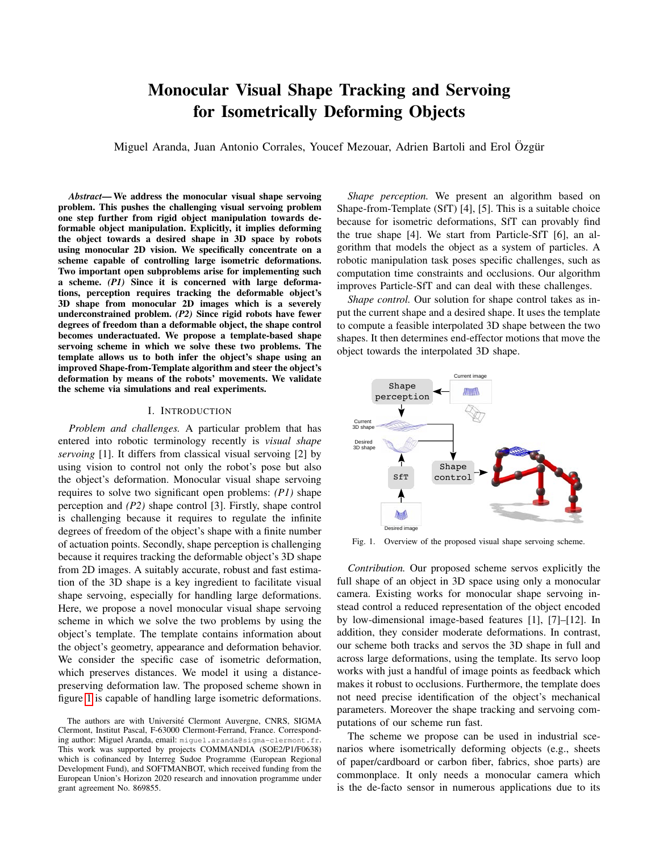# Monocular Visual Shape Tracking and Servoing for Isometrically Deforming Objects

Miguel Aranda, Juan Antonio Corrales, Youcef Mezouar, Adrien Bartoli and Erol Özgür

*Abstract*— We address the monocular visual shape servoing problem. This pushes the challenging visual servoing problem one step further from rigid object manipulation towards deformable object manipulation. Explicitly, it implies deforming the object towards a desired shape in 3D space by robots using monocular 2D vision. We specifically concentrate on a scheme capable of controlling large isometric deformations. Two important open subproblems arise for implementing such a scheme. *(P1)* Since it is concerned with large deformations, perception requires tracking the deformable object's 3D shape from monocular 2D images which is a severely underconstrained problem. *(P2)* Since rigid robots have fewer degrees of freedom than a deformable object, the shape control becomes underactuated. We propose a template-based shape servoing scheme in which we solve these two problems. The template allows us to both infer the object's shape using an improved Shape-from-Template algorithm and steer the object's deformation by means of the robots' movements. We validate the scheme via simulations and real experiments.

#### I. INTRODUCTION

*Problem and challenges.* A particular problem that has entered into robotic terminology recently is *visual shape servoing* [1]. It differs from classical visual servoing [2] by using vision to control not only the robot's pose but also the object's deformation. Monocular visual shape servoing requires to solve two significant open problems: *(P1)* shape perception and *(P2)* shape control [3]. Firstly, shape control is challenging because it requires to regulate the infinite degrees of freedom of the object's shape with a finite number of actuation points. Secondly, shape perception is challenging because it requires tracking the deformable object's 3D shape from 2D images. A suitably accurate, robust and fast estimation of the 3D shape is a key ingredient to facilitate visual shape servoing, especially for handling large deformations. Here, we propose a novel monocular visual shape servoing scheme in which we solve the two problems by using the object's template. The template contains information about the object's geometry, appearance and deformation behavior. We consider the specific case of isometric deformation, which preserves distances. We model it using a distancepreserving deformation law. The proposed scheme shown in figure [1](#page-0-0) is capable of handling large isometric deformations.

*Shape perception.* We present an algorithm based on Shape-from-Template (SfT) [4], [5]. This is a suitable choice because for isometric deformations, SfT can provably find the true shape [4]. We start from Particle-SfT [6], an algorithm that models the object as a system of particles. A robotic manipulation task poses specific challenges, such as computation time constraints and occlusions. Our algorithm improves Particle-SfT and can deal with these challenges.

*Shape control.* Our solution for shape control takes as input the current shape and a desired shape. It uses the template to compute a feasible interpolated 3D shape between the two shapes. It then determines end-effector motions that move the object towards the interpolated 3D shape.



<span id="page-0-0"></span>Fig. 1. Overview of the proposed visual shape servoing scheme.

*Contribution.* Our proposed scheme servos explicitly the full shape of an object in 3D space using only a monocular camera. Existing works for monocular shape servoing instead control a reduced representation of the object encoded by low-dimensional image-based features [1], [7]–[12]. In addition, they consider moderate deformations. In contrast, our scheme both tracks and servos the 3D shape in full and across large deformations, using the template. Its servo loop works with just a handful of image points as feedback which makes it robust to occlusions. Furthermore, the template does not need precise identification of the object's mechanical parameters. Moreover the shape tracking and servoing computations of our scheme run fast.

The scheme we propose can be used in industrial scenarios where isometrically deforming objects (e.g., sheets of paper/cardboard or carbon fiber, fabrics, shoe parts) are commonplace. It only needs a monocular camera which is the de-facto sensor in numerous applications due to its

The authors are with Université Clermont Auvergne, CNRS, SIGMA Clermont, Institut Pascal, F-63000 Clermont-Ferrand, France. Corresponding author: Miguel Aranda, email: miguel.aranda@sigma-clermont.fr. This work was supported by projects COMMANDIA (SOE2/P1/F0638) which is cofinanced by Interreg Sudoe Programme (European Regional Development Fund), and SOFTMANBOT, which received funding from the European Union's Horizon 2020 research and innovation programme under grant agreement No. 869855.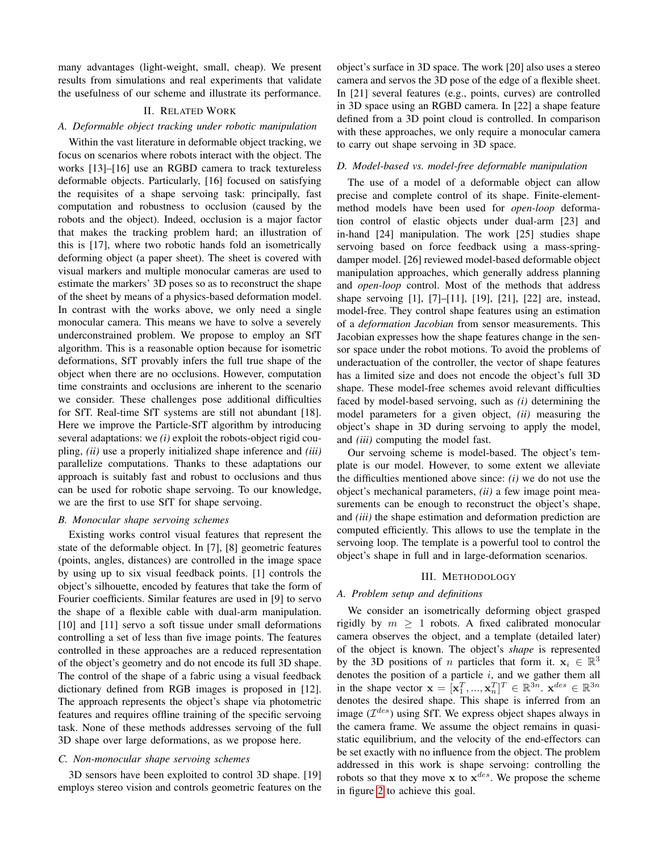many advantages (light-weight, small, cheap). We present results from simulations and real experiments that validate the usefulness of our scheme and illustrate its performance.

# II. RELATED WORK

#### *A. Deformable object tracking under robotic manipulation*

Within the vast literature in deformable object tracking, we focus on scenarios where robots interact with the object. The works [13]–[16] use an RGBD camera to track textureless deformable objects. Particularly, [16] focused on satisfying the requisites of a shape servoing task: principally, fast computation and robustness to occlusion (caused by the robots and the object). Indeed, occlusion is a major factor that makes the tracking problem hard; an illustration of this is [17], where two robotic hands fold an isometrically deforming object (a paper sheet). The sheet is covered with visual markers and multiple monocular cameras are used to estimate the markers' 3D poses so as to reconstruct the shape of the sheet by means of a physics-based deformation model. In contrast with the works above, we only need a single monocular camera. This means we have to solve a severely underconstrained problem. We propose to employ an SfT algorithm. This is a reasonable option because for isometric deformations, SfT provably infers the full true shape of the object when there are no occlusions. However, computation time constraints and occlusions are inherent to the scenario we consider. These challenges pose additional difficulties for SfT. Real-time SfT systems are still not abundant [18]. Here we improve the Particle-SfT algorithm by introducing several adaptations: we *(i)* exploit the robots-object rigid coupling, *(ii)* use a properly initialized shape inference and *(iii)* parallelize computations. Thanks to these adaptations our approach is suitably fast and robust to occlusions and thus can be used for robotic shape servoing. To our knowledge, we are the first to use SfT for shape servoing.

## *B. Monocular shape servoing schemes*

Existing works control visual features that represent the state of the deformable object. In [7], [8] geometric features (points, angles, distances) are controlled in the image space by using up to six visual feedback points. [1] controls the object's silhouette, encoded by features that take the form of Fourier coefficients. Similar features are used in [9] to servo the shape of a flexible cable with dual-arm manipulation. [10] and [11] servo a soft tissue under small deformations controlling a set of less than five image points. The features controlled in these approaches are a reduced representation of the object's geometry and do not encode its full 3D shape. The control of the shape of a fabric using a visual feedback dictionary defined from RGB images is proposed in [12]. The approach represents the object's shape via photometric features and requires offline training of the specific servoing task. None of these methods addresses servoing of the full 3D shape over large deformations, as we propose here.

### *C. Non-monocular shape servoing schemes*

3D sensors have been exploited to control 3D shape. [19] employs stereo vision and controls geometric features on the object's surface in 3D space. The work [20] also uses a stereo camera and servos the 3D pose of the edge of a flexible sheet. In [21] several features (e.g., points, curves) are controlled in 3D space using an RGBD camera. In [22] a shape feature defined from a 3D point cloud is controlled. In comparison with these approaches, we only require a monocular camera to carry out shape servoing in 3D space.

## *D. Model-based vs. model-free deformable manipulation*

The use of a model of a deformable object can allow precise and complete control of its shape. Finite-elementmethod models have been used for *open-loop* deformation control of elastic objects under dual-arm [23] and in-hand [24] manipulation. The work [25] studies shape servoing based on force feedback using a mass-springdamper model. [26] reviewed model-based deformable object manipulation approaches, which generally address planning and *open-loop* control. Most of the methods that address shape servoing [1], [7]–[11], [19], [21], [22] are, instead, model-free. They control shape features using an estimation of a *deformation Jacobian* from sensor measurements. This Jacobian expresses how the shape features change in the sensor space under the robot motions. To avoid the problems of underactuation of the controller, the vector of shape features has a limited size and does not encode the object's full 3D shape. These model-free schemes avoid relevant difficulties faced by model-based servoing, such as *(i)* determining the model parameters for a given object, *(ii)* measuring the object's shape in 3D during servoing to apply the model, and *(iii)* computing the model fast.

Our servoing scheme is model-based. The object's template is our model. However, to some extent we alleviate the difficulties mentioned above since: *(i)* we do not use the object's mechanical parameters, *(ii)* a few image point measurements can be enough to reconstruct the object's shape, and *(iii)* the shape estimation and deformation prediction are computed efficiently. This allows to use the template in the servoing loop. The template is a powerful tool to control the object's shape in full and in large-deformation scenarios.

#### III. METHODOLOGY

#### *A. Problem setup and definitions*

We consider an isometrically deforming object grasped rigidly by  $m \geq 1$  robots. A fixed calibrated monocular camera observes the object, and a template (detailed later) of the object is known. The object's *shape* is represented by the 3D positions of *n* particles that form it.  $x_i \in \mathbb{R}^3$ denotes the position of a particle  $i$ , and we gather them all in the shape vector  $\mathbf{x} = [\mathbf{x}_1^T, ..., \mathbf{x}_n^T]^T \in \mathbb{R}^{3n}$ .  $\mathbf{x}^{des} \in \mathbb{R}^{3n}$ denotes the desired shape. This shape is inferred from an image  $(\mathcal{I}^{des})$  using SfT. We express object shapes always in the camera frame. We assume the object remains in quasistatic equilibrium, and the velocity of the end-effectors can be set exactly with no influence from the object. The problem addressed in this work is shape servoing: controlling the robots so that they move  $x$  to  $x^{des}$ . We propose the scheme in figure [2](#page-2-0) to achieve this goal.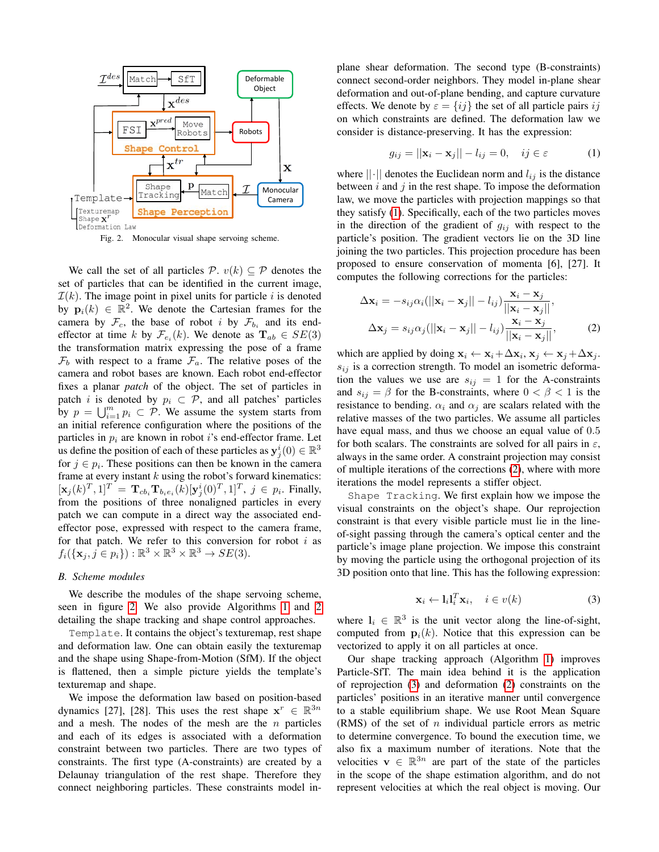

<span id="page-2-0"></span>Fig. 2. Monocular visual shape servoing scheme.

We call the set of all particles  $P$ .  $v(k) \subseteq P$  denotes the set of particles that can be identified in the current image,  $\mathcal{I}(k)$ . The image point in pixel units for particle i is denoted by  $\mathbf{p}_i(k) \in \mathbb{R}^2$ . We denote the Cartesian frames for the camera by  $\mathcal{F}_c$ , the base of robot i by  $\mathcal{F}_{b_i}$  and its endeffector at time k by  $\mathcal{F}_{e_i}(k)$ . We denote as  $\mathbf{T}_{ab} \in SE(3)$ the transformation matrix expressing the pose of a frame  $\mathcal{F}_b$  with respect to a frame  $\mathcal{F}_a$ . The relative poses of the camera and robot bases are known. Each robot end-effector fixes a planar *patch* of the object. The set of particles in patch i is denoted by  $p_i \subset \mathcal{P}$ , and all patches' particles by  $p = \bigcup_{i=1}^m p_i \subset \mathcal{P}$ . We assume the system starts from an initial reference configuration where the positions of the particles in  $p_i$  are known in robot i's end-effector frame. Let us define the position of each of these particles as  $y_j^i(0) \in \mathbb{R}^3$ for  $j \in p_i$ . These positions can then be known in the camera frame at every instant  $k$  using the robot's forward kinematics:  $[\mathbf{x}_j(k)^T, 1]^T = \mathbf{T}_{cb_i} \mathbf{T}_{b_i e_i}(k) [\mathbf{y}_j^i(0)^T, 1]^T$ ,  $j \in p_i$ . Finally, from the positions of three nonaligned particles in every patch we can compute in a direct way the associated endeffector pose, expressed with respect to the camera frame, for that patch. We refer to this conversion for robot  $i$  as  $f_i(\{\mathbf{x}_j, j \in p_i\}): \mathbb{R}^3 \times \mathbb{R}^3 \times \mathbb{R}^3 \to SE(3).$ 

## *B. Scheme modules*

We describe the modules of the shape servoing scheme, seen in figure [2.](#page-2-0) We also provide Algorithms [1](#page-3-0) and [2](#page-3-1) detailing the shape tracking and shape control approaches.

Template. It contains the object's texturemap, rest shape and deformation law. One can obtain easily the texturemap and the shape using Shape-from-Motion (SfM). If the object is flattened, then a simple picture yields the template's texturemap and shape.

We impose the deformation law based on position-based dynamics [27], [28]. This uses the rest shape  $x^r \in \mathbb{R}^{3n}$ and a mesh. The nodes of the mesh are the  $n$  particles and each of its edges is associated with a deformation constraint between two particles. There are two types of constraints. The first type (A-constraints) are created by a Delaunay triangulation of the rest shape. Therefore they connect neighboring particles. These constraints model inplane shear deformation. The second type (B-constraints) connect second-order neighbors. They model in-plane shear deformation and out-of-plane bending, and capture curvature effects. We denote by  $\varepsilon = \{ij\}$  the set of all particle pairs ij on which constraints are defined. The deformation law we consider is distance-preserving. It has the expression:

<span id="page-2-1"></span>
$$
g_{ij} = ||\mathbf{x}_i - \mathbf{x}_j|| - l_{ij} = 0, \quad ij \in \varepsilon \tag{1}
$$

where  $||\cdot||$  denotes the Euclidean norm and  $l_{ij}$  is the distance between  $i$  and  $j$  in the rest shape. To impose the deformation law, we move the particles with projection mappings so that they satisfy [\(1\)](#page-2-1). Specifically, each of the two particles moves in the direction of the gradient of  $g_{ij}$  with respect to the particle's position. The gradient vectors lie on the 3D line joining the two particles. This projection procedure has been proposed to ensure conservation of momenta [6], [27]. It computes the following corrections for the particles:

<span id="page-2-2"></span>
$$
\Delta \mathbf{x}_{i} = -s_{ij} \alpha_{i}(||\mathbf{x}_{i} - \mathbf{x}_{j}|| - l_{ij}) \frac{\mathbf{x}_{i} - \mathbf{x}_{j}}{||\mathbf{x}_{i} - \mathbf{x}_{j}||},
$$
  

$$
\Delta \mathbf{x}_{j} = s_{ij} \alpha_{j} (||\mathbf{x}_{i} - \mathbf{x}_{j}|| - l_{ij}) \frac{\mathbf{x}_{i} - \mathbf{x}_{j}}{||\mathbf{x}_{i} - \mathbf{x}_{j}||},
$$
 (2)

which are applied by doing  $x_i \leftarrow x_i + \Delta x_i$ ,  $x_j \leftarrow x_j + \Delta x_j$ .  $s_{ij}$  is a correction strength. To model an isometric deformation the values we use are  $s_{ij} = 1$  for the A-constraints and  $s_{ij} = \beta$  for the B-constraints, where  $0 < \beta < 1$  is the resistance to bending.  $\alpha_i$  and  $\alpha_j$  are scalars related with the relative masses of the two particles. We assume all particles have equal mass, and thus we choose an equal value of 0.5 for both scalars. The constraints are solved for all pairs in  $\varepsilon$ , always in the same order. A constraint projection may consist of multiple iterations of the corrections [\(2\)](#page-2-2), where with more iterations the model represents a stiffer object.

Shape Tracking. We first explain how we impose the visual constraints on the object's shape. Our reprojection constraint is that every visible particle must lie in the lineof-sight passing through the camera's optical center and the particle's image plane projection. We impose this constraint by moving the particle using the orthogonal projection of its 3D position onto that line. This has the following expression:

$$
\mathbf{x}_i \leftarrow \mathbf{l}_i \mathbf{l}_i^T \mathbf{x}_i, \quad i \in v(k)
$$
 (3)

<span id="page-2-3"></span>where  $l_i \in \mathbb{R}^3$  is the unit vector along the line-of-sight, computed from  $p_i(k)$ . Notice that this expression can be vectorized to apply it on all particles at once.

Our shape tracking approach (Algorithm [1\)](#page-3-0) improves Particle-SfT. The main idea behind it is the application of reprojection [\(3\)](#page-2-3) and deformation [\(2\)](#page-2-2) constraints on the particles' positions in an iterative manner until convergence to a stable equilibrium shape. We use Root Mean Square (RMS) of the set of  $n$  individual particle errors as metric to determine convergence. To bound the execution time, we also fix a maximum number of iterations. Note that the velocities  $\mathbf{v} \in \mathbb{R}^{3n}$  are part of the state of the particles in the scope of the shape estimation algorithm, and do not represent velocities at which the real object is moving. Our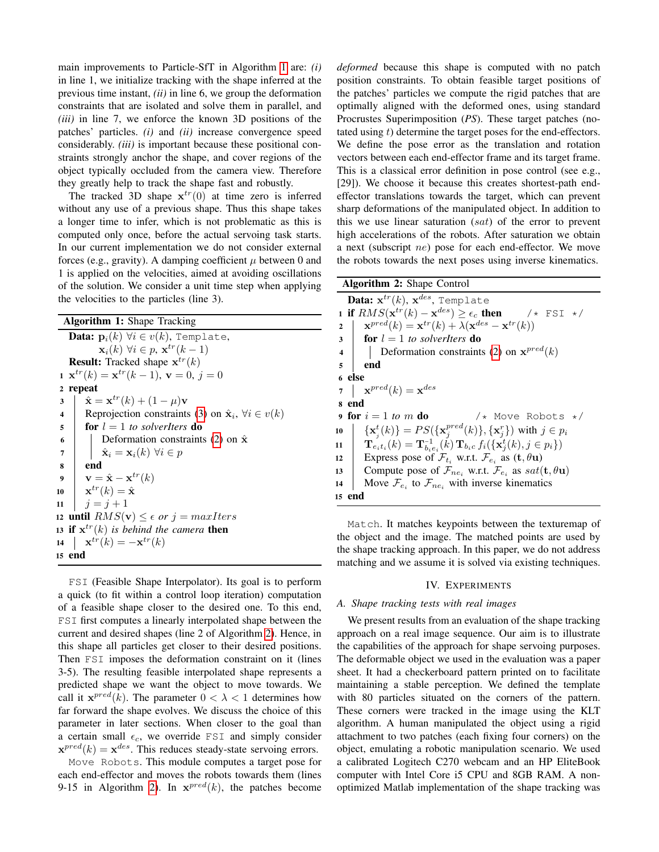main improvements to Particle-SfT in Algorithm [1](#page-3-0) are: *(i)* in line 1, we initialize tracking with the shape inferred at the previous time instant, *(ii)* in line 6, we group the deformation constraints that are isolated and solve them in parallel, and *(iii)* in line 7, we enforce the known 3D positions of the patches' particles. *(i)* and *(ii)* increase convergence speed considerably. *(iii)* is important because these positional constraints strongly anchor the shape, and cover regions of the object typically occluded from the camera view. Therefore they greatly help to track the shape fast and robustly.

The tracked 3D shape  $\mathbf{x}^{tr}(0)$  at time zero is inferred without any use of a previous shape. Thus this shape takes a longer time to infer, which is not problematic as this is computed only once, before the actual servoing task starts. In our current implementation we do not consider external forces (e.g., gravity). A damping coefficient  $\mu$  between 0 and 1 is applied on the velocities, aimed at avoiding oscillations of the solution. We consider a unit time step when applying the velocities to the particles (line 3).

| Algorithm 1: Shape Tracking |  |  |  |
|-----------------------------|--|--|--|
|-----------------------------|--|--|--|

<span id="page-3-0"></span>

|                         | <b>Data:</b> $\mathbf{p}_i(k)$ $\forall i \in v(k)$ , Template,             |  |  |  |
|-------------------------|-----------------------------------------------------------------------------|--|--|--|
|                         | $\mathbf{x}_i(k)$ $\forall i \in p$ , $\mathbf{x}^{tr}(k-1)$                |  |  |  |
|                         | <b>Result:</b> Tracked shape $x^{tr}(k)$                                    |  |  |  |
|                         | $\mathbf{x}^{tr}(k) = \mathbf{x}^{tr}(k-1), \mathbf{v} = 0, j = 0$          |  |  |  |
| $\boldsymbol{2}$        | repeat                                                                      |  |  |  |
| $\mathbf{3}$            | $\hat{\mathbf{x}} = \mathbf{x}^{tr}(k) + (1 - \mu)\mathbf{v}$               |  |  |  |
| $\overline{\mathbf{4}}$ | Reprojection constraints (3) on $\hat{\mathbf{x}}_i$ , $\forall i \in v(k)$ |  |  |  |
| 5                       | <b>for</b> $l = 1$ to solverliers <b>do</b>                                 |  |  |  |
| 6                       | Deformation constraints (2) on $\hat{\mathbf{x}}$                           |  |  |  |
| $\overline{7}$          | $\hat{\mathbf{x}}_i = \mathbf{x}_i(k) \ \forall i \in p$                    |  |  |  |
| 8                       | end                                                                         |  |  |  |
| $\boldsymbol{9}$        | $\mathbf{v} = \hat{\mathbf{x}} - \mathbf{x}^{tr}(k)$                        |  |  |  |
|                         | 10 $\mathbf{x}^{tr}(k) = \hat{\mathbf{x}}$                                  |  |  |  |
| 11                      | $j = j + 1$                                                                 |  |  |  |
|                         | 12 until $RMS(\mathbf{v}) \leq \epsilon$ or $j = maxIters$                  |  |  |  |
|                         | 13 if $x^{tr}(k)$ is behind the camera then                                 |  |  |  |
|                         | 14 $\mathbf{x}^{tr}(k) = -\mathbf{x}^{tr}(k)$                               |  |  |  |
|                         | 15 end                                                                      |  |  |  |
|                         |                                                                             |  |  |  |

FSI (Feasible Shape Interpolator). Its goal is to perform a quick (to fit within a control loop iteration) computation of a feasible shape closer to the desired one. To this end, FSI first computes a linearly interpolated shape between the current and desired shapes (line 2 of Algorithm [2\)](#page-3-1). Hence, in this shape all particles get closer to their desired positions. Then FSI imposes the deformation constraint on it (lines 3-5). The resulting feasible interpolated shape represents a predicted shape we want the object to move towards. We call it  $\mathbf{x}^{pred}(k)$ . The parameter  $0 < \lambda < 1$  determines how far forward the shape evolves. We discuss the choice of this parameter in later sections. When closer to the goal than a certain small  $\epsilon_c$ , we override FSI and simply consider  $\mathbf{x}^{pred}(k) = \mathbf{x}^{des}$ . This reduces steady-state servoing errors.

Move Robots. This module computes a target pose for each end-effector and moves the robots towards them (lines 9-15 in Algorithm [2\)](#page-3-1). In  $\mathbf{x}^{pred}(k)$ , the patches become

*deformed* because this shape is computed with no patch position constraints. To obtain feasible target positions of the patches' particles we compute the rigid patches that are optimally aligned with the deformed ones, using standard Procrustes Superimposition (*PS*). These target patches (notated using t) determine the target poses for the end-effectors. We define the pose error as the translation and rotation vectors between each end-effector frame and its target frame. This is a classical error definition in pose control (see e.g., [29]). We choose it because this creates shortest-path endeffector translations towards the target, which can prevent sharp deformations of the manipulated object. In addition to this we use linear saturation  $(sat)$  of the error to prevent high accelerations of the robots. After saturation we obtain a next (subscript ne) pose for each end-effector. We move the robots towards the next poses using inverse kinematics.

<span id="page-3-1"></span>

| Algorithm 2: Shape Control                                                                              |                                                                                                                      |  |  |
|---------------------------------------------------------------------------------------------------------|----------------------------------------------------------------------------------------------------------------------|--|--|
| <b>Data:</b> $\mathbf{x}^{tr}(k)$ , $\mathbf{x}^{des}$ , Template                                       |                                                                                                                      |  |  |
| 1 if $RMS(\mathbf{x}^{tr}(k) - \mathbf{x}^{des}) \ge \epsilon_c$ then $\ell \times \text{FSI} \ne \ell$ |                                                                                                                      |  |  |
| $\overline{2}$                                                                                          | $\mathbf{x}^{pred}(k) = \mathbf{x}^{tr}(k) + \lambda(\mathbf{x}^{des} - \mathbf{x}^{tr}(k))$                         |  |  |
|                                                                                                         | $\mathbf{3}$   for $l = 1$ to solverliers <b>do</b>                                                                  |  |  |
|                                                                                                         | 4   Deformation constraints (2) on $\mathbf{x}^{pred}(k)$                                                            |  |  |
| $5^{\circ}$                                                                                             | end                                                                                                                  |  |  |
| 6 else                                                                                                  |                                                                                                                      |  |  |
|                                                                                                         | $\mathbf{z} = \mathbf{x}^{pred}(k) = \mathbf{x}^{des}$                                                               |  |  |
| s end                                                                                                   |                                                                                                                      |  |  |
|                                                                                                         | /* Move Robots */<br>9 for $i=1$ to m do                                                                             |  |  |
| 10                                                                                                      | $\{\mathbf x_i^t(k)\} = PS(\{\mathbf x_i^{pred}(k)\}, \{\mathbf x_i^r\})$ with $j \in p_i$                           |  |  |
|                                                                                                         | 11 $\mathbf{T}_{e_i t_i}(k) = \mathbf{T}_{b_i e_i}^{-1}(k) \mathbf{T}_{b_i c} f_i(\{\mathbf{x}_i^t(k), j \in p_i\})$ |  |  |
|                                                                                                         | 12 Express pose of $\mathcal{F}_{t_i}$ w.r.t. $\mathcal{F}_{e_i}$ as $(\mathbf{t}, \theta \mathbf{u})$               |  |  |
| 13                                                                                                      | Compute pose of $\mathcal{F}_{ne_i}$ w.r.t. $\mathcal{F}_{e_i}$ as $sat(\mathbf{t},\theta\mathbf{u})$                |  |  |
| 14                                                                                                      | Move $\mathcal{F}_{e_i}$ to $\mathcal{F}_{ne_i}$ with inverse kinematics                                             |  |  |
| end<br>15                                                                                               |                                                                                                                      |  |  |

Match. It matches keypoints between the texturemap of the object and the image. The matched points are used by the shape tracking approach. In this paper, we do not address matching and we assume it is solved via existing techniques.

### IV. EXPERIMENTS

#### *A. Shape tracking tests with real images*

We present results from an evaluation of the shape tracking approach on a real image sequence. Our aim is to illustrate the capabilities of the approach for shape servoing purposes. The deformable object we used in the evaluation was a paper sheet. It had a checkerboard pattern printed on to facilitate maintaining a stable perception. We defined the template with 80 particles situated on the corners of the pattern. These corners were tracked in the image using the KLT algorithm. A human manipulated the object using a rigid attachment to two patches (each fixing four corners) on the object, emulating a robotic manipulation scenario. We used a calibrated Logitech C270 webcam and an HP EliteBook computer with Intel Core i5 CPU and 8GB RAM. A nonoptimized Matlab implementation of the shape tracking was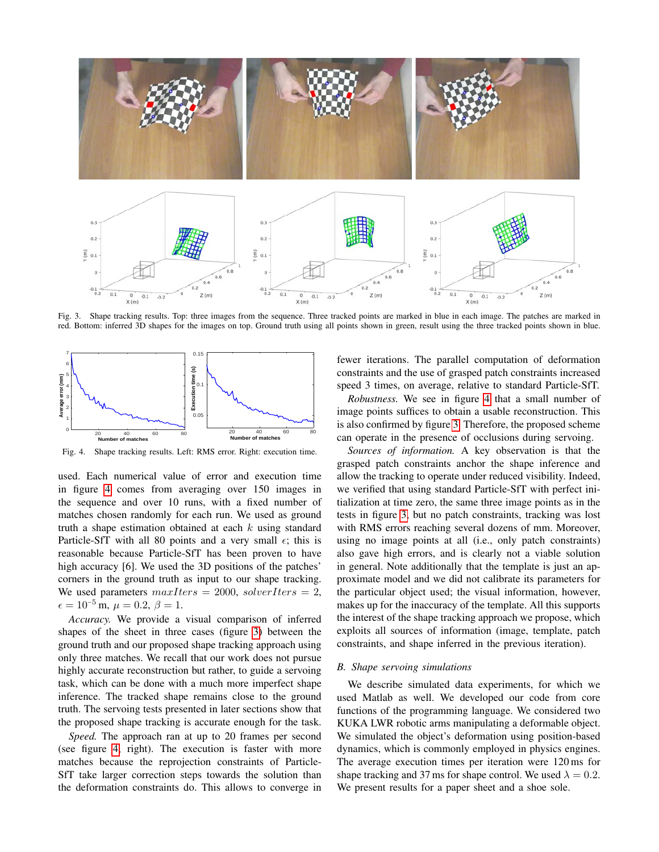

<span id="page-4-1"></span>Fig. 3. Shape tracking results. Top: three images from the sequence. Three tracked points are marked in blue in each image. The patches are marked in red. Bottom: inferred 3D shapes for the images on top. Ground truth using all points shown in green, result using the three tracked points shown in blue.



<span id="page-4-0"></span>Fig. 4. Shape tracking results. Left: RMS error. Right: execution time.

used. Each numerical value of error and execution time in figure [4](#page-4-0) comes from averaging over 150 images in the sequence and over 10 runs, with a fixed number of matches chosen randomly for each run. We used as ground truth a shape estimation obtained at each  $k$  using standard Particle-SfT with all 80 points and a very small  $\epsilon$ ; this is reasonable because Particle-SfT has been proven to have high accuracy [6]. We used the 3D positions of the patches' corners in the ground truth as input to our shape tracking. We used parameters  $maxIters = 2000$ ,  $solverIters = 2$ ,  $\epsilon = 10^{-5}$  m,  $\mu = 0.2, \beta = 1$ .

*Accuracy.* We provide a visual comparison of inferred shapes of the sheet in three cases (figure [3\)](#page-4-1) between the ground truth and our proposed shape tracking approach using only three matches. We recall that our work does not pursue highly accurate reconstruction but rather, to guide a servoing task, which can be done with a much more imperfect shape inference. The tracked shape remains close to the ground truth. The servoing tests presented in later sections show that the proposed shape tracking is accurate enough for the task.

*Speed.* The approach ran at up to 20 frames per second (see figure [4,](#page-4-0) right). The execution is faster with more matches because the reprojection constraints of Particle-SfT take larger correction steps towards the solution than the deformation constraints do. This allows to converge in fewer iterations. The parallel computation of deformation constraints and the use of grasped patch constraints increased speed 3 times, on average, relative to standard Particle-SfT.

*Robustness.* We see in figure [4](#page-4-0) that a small number of image points suffices to obtain a usable reconstruction. This is also confirmed by figure [3.](#page-4-1) Therefore, the proposed scheme can operate in the presence of occlusions during servoing.

*Sources of information.* A key observation is that the grasped patch constraints anchor the shape inference and allow the tracking to operate under reduced visibility. Indeed, we verified that using standard Particle-SfT with perfect initialization at time zero, the same three image points as in the tests in figure [3,](#page-4-1) but no patch constraints, tracking was lost with RMS errors reaching several dozens of mm. Moreover, using no image points at all (i.e., only patch constraints) also gave high errors, and is clearly not a viable solution in general. Note additionally that the template is just an approximate model and we did not calibrate its parameters for the particular object used; the visual information, however, makes up for the inaccuracy of the template. All this supports the interest of the shape tracking approach we propose, which exploits all sources of information (image, template, patch constraints, and shape inferred in the previous iteration).

# *B. Shape servoing simulations*

We describe simulated data experiments, for which we used Matlab as well. We developed our code from core functions of the programming language. We considered two KUKA LWR robotic arms manipulating a deformable object. We simulated the object's deformation using position-based dynamics, which is commonly employed in physics engines. The average execution times per iteration were 120 ms for shape tracking and 37 ms for shape control. We used  $\lambda = 0.2$ . We present results for a paper sheet and a shoe sole.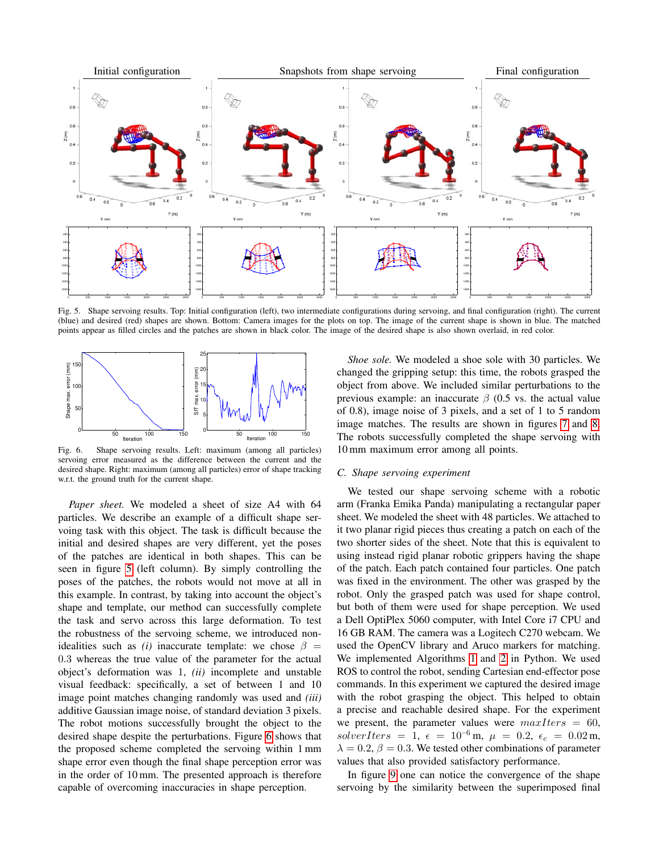

<span id="page-5-0"></span>Fig. 5. Shape servoing results. Top: Initial configuration (left), two intermediate configurations during servoing, and final configuration (right). The current (blue) and desired (red) shapes are shown. Bottom: Camera images for the plots on top. The image of the current shape is shown in blue. The matched points appear as filled circles and the patches are shown in black color. The image of the desired shape is also shown overlaid, in red color.



<span id="page-5-1"></span>Fig. 6. Shape servoing results. Left: maximum (among all particles) servoing error measured as the difference between the current and the desired shape. Right: maximum (among all particles) error of shape tracking w.r.t. the ground truth for the current shape.

*Paper sheet.* We modeled a sheet of size A4 with 64 particles. We describe an example of a difficult shape servoing task with this object. The task is difficult because the initial and desired shapes are very different, yet the poses of the patches are identical in both shapes. This can be seen in figure [5](#page-5-0) (left column). By simply controlling the poses of the patches, the robots would not move at all in this example. In contrast, by taking into account the object's shape and template, our method can successfully complete the task and servo across this large deformation. To test the robustness of the servoing scheme, we introduced nonidealities such as *(i)* inaccurate template: we chose  $\beta$  = 0.3 whereas the true value of the parameter for the actual object's deformation was 1, *(ii)* incomplete and unstable visual feedback: specifically, a set of between 1 and 10 image point matches changing randomly was used and *(iii)* additive Gaussian image noise, of standard deviation 3 pixels. The robot motions successfully brought the object to the desired shape despite the perturbations. Figure [6](#page-5-1) shows that the proposed scheme completed the servoing within 1 mm shape error even though the final shape perception error was in the order of 10 mm. The presented approach is therefore capable of overcoming inaccuracies in shape perception.

*Shoe sole.* We modeled a shoe sole with 30 particles. We changed the gripping setup: this time, the robots grasped the object from above. We included similar perturbations to the previous example: an inaccurate  $\beta$  (0.5 vs. the actual value of 0.8), image noise of 3 pixels, and a set of 1 to 5 random image matches. The results are shown in figures [7](#page-6-0) and [8.](#page-6-1) The robots successfully completed the shape servoing with 10 mm maximum error among all points.

#### *C. Shape servoing experiment*

We tested our shape servoing scheme with a robotic arm (Franka Emika Panda) manipulating a rectangular paper sheet. We modeled the sheet with 48 particles. We attached to it two planar rigid pieces thus creating a patch on each of the two shorter sides of the sheet. Note that this is equivalent to using instead rigid planar robotic grippers having the shape of the patch. Each patch contained four particles. One patch was fixed in the environment. The other was grasped by the robot. Only the grasped patch was used for shape control, but both of them were used for shape perception. We used a Dell OptiPlex 5060 computer, with Intel Core i7 CPU and 16 GB RAM. The camera was a Logitech C270 webcam. We used the OpenCV library and Aruco markers for matching. We implemented Algorithms [1](#page-3-0) and [2](#page-3-1) in Python. We used ROS to control the robot, sending Cartesian end-effector pose commands. In this experiment we captured the desired image with the robot grasping the object. This helped to obtain a precise and reachable desired shape. For the experiment we present, the parameter values were  $maxIters = 60$ , solverIters = 1,  $\epsilon = 10^{-6}$  m,  $\mu = 0.2$ ,  $\epsilon_c = 0.02$  m,  $\lambda = 0.2$ ,  $\beta = 0.3$ . We tested other combinations of parameter values that also provided satisfactory performance.

In figure [9](#page-7-0) one can notice the convergence of the shape servoing by the similarity between the superimposed final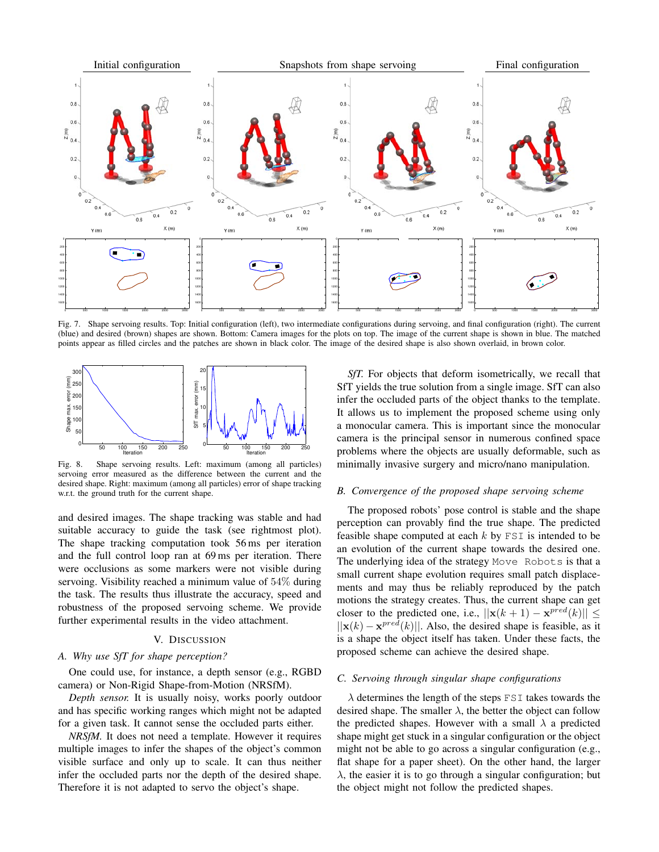

<span id="page-6-0"></span>Fig. 7. Shape servoing results. Top: Initial configuration (left), two intermediate configurations during servoing, and final configuration (right). The current (blue) and desired (brown) shapes are shown. Bottom: Camera images for the plots on top. The image of the current shape is shown in blue. The matched points appear as filled circles and the patches are shown in black color. The image of the desired shape is also shown overlaid, in brown color.



<span id="page-6-1"></span>Fig. 8. Shape servoing results. Left: maximum (among all particles) servoing error measured as the difference between the current and the desired shape. Right: maximum (among all particles) error of shape tracking w.r.t. the ground truth for the current shape.

and desired images. The shape tracking was stable and had suitable accuracy to guide the task (see rightmost plot). The shape tracking computation took 56 ms per iteration and the full control loop ran at 69 ms per iteration. There were occlusions as some markers were not visible during servoing. Visibility reached a minimum value of 54% during the task. The results thus illustrate the accuracy, speed and robustness of the proposed servoing scheme. We provide further experimental results in the video attachment.

# V. DISCUSSION

# *A. Why use SfT for shape perception?*

One could use, for instance, a depth sensor (e.g., RGBD camera) or Non-Rigid Shape-from-Motion (NRSfM).

*Depth sensor.* It is usually noisy, works poorly outdoor and has specific working ranges which might not be adapted for a given task. It cannot sense the occluded parts either.

*NRSfM.* It does not need a template. However it requires multiple images to infer the shapes of the object's common visible surface and only up to scale. It can thus neither infer the occluded parts nor the depth of the desired shape. Therefore it is not adapted to servo the object's shape.

*SfT.* For objects that deform isometrically, we recall that SfT yields the true solution from a single image. SfT can also infer the occluded parts of the object thanks to the template. It allows us to implement the proposed scheme using only a monocular camera. This is important since the monocular camera is the principal sensor in numerous confined space problems where the objects are usually deformable, such as minimally invasive surgery and micro/nano manipulation.

#### *B. Convergence of the proposed shape servoing scheme*

The proposed robots' pose control is stable and the shape perception can provably find the true shape. The predicted feasible shape computed at each  $k$  by  $FST$  is intended to be an evolution of the current shape towards the desired one. The underlying idea of the strategy Move Robots is that a small current shape evolution requires small patch displacements and may thus be reliably reproduced by the patch motions the strategy creates. Thus, the current shape can get closer to the predicted one, i.e.,  $||\mathbf{x}(k+1) - \mathbf{x}^{pred}(k)|| \le$  $||\mathbf{x}(k) - \mathbf{x}^{pred}(k)||$ . Also, the desired shape is feasible, as it is a shape the object itself has taken. Under these facts, the proposed scheme can achieve the desired shape.

#### *C. Servoing through singular shape configurations*

 $\lambda$  determines the length of the steps FSI takes towards the desired shape. The smaller  $\lambda$ , the better the object can follow the predicted shapes. However with a small  $\lambda$  a predicted shape might get stuck in a singular configuration or the object might not be able to go across a singular configuration (e.g., flat shape for a paper sheet). On the other hand, the larger  $\lambda$ , the easier it is to go through a singular configuration; but the object might not follow the predicted shapes.